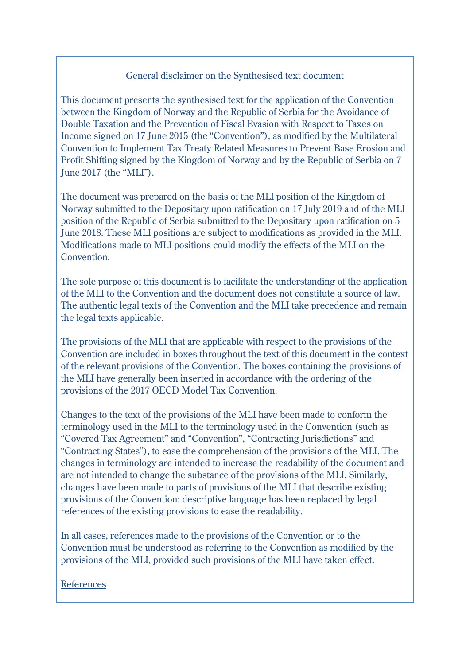#### General disclaimer on the Synthesised text document

This document presents the synthesised text for the application of the Convention between the Kingdom of Norway and the Republic of Serbia for the Avoidance of Double Taxation and the Prevention of Fiscal Evasion with Respect to Taxes on Income signed on 17 June 2015 (the "Convention"), as modified by the Multilateral Convention to Implement Tax Treaty Related Measures to Prevent Base Erosion and Profit Shifting signed by the Kingdom of Norway and by the Republic of Serbia on 7 June 2017 (the "MLI").

The document was prepared on the basis of the MLI position of the Kingdom of Norway submitted to the Depositary upon ratification on 17 July 2019 and of the MLI position of the Republic of Serbia submitted to the Depositary upon ratification on 5 June 2018. These MLI positions are subject to modifications as provided in the MLI. Modifications made to MLI positions could modify the effects of the MLI on the Convention.

The sole purpose of this document is to facilitate the understanding of the application of the MLI to the Convention and the document does not constitute a source of law. The authentic legal texts of the Convention and the MLI take precedence and remain the legal texts applicable.

The provisions of the MLI that are applicable with respect to the provisions of the Convention are included in boxes throughout the text of this document in the context of the relevant provisions of the Convention. The boxes containing the provisions of the MLI have generally been inserted in accordance with the ordering of the provisions of the 2017 OECD Model Tax Convention.

Changes to the text of the provisions of the MLI have been made to conform the terminology used in the MLI to the terminology used in the Convention (such as "Covered Tax Agreement" and "Convention", "Contracting Jurisdictions" and "Contracting States"), to ease the comprehension of the provisions of the MLI. The changes in terminology are intended to increase the readability of the document and are not intended to change the substance of the provisions of the MLI. Similarly, changes have been made to parts of provisions of the MLI that describe existing provisions of the Convention: descriptive language has been replaced by legal references of the existing provisions to ease the readability.

In all cases, references made to the provisions of the Convention or to the Convention must be understood as referring to the Convention as modified by the provisions of the MLI, provided such provisions of the MLI have taken effect.

References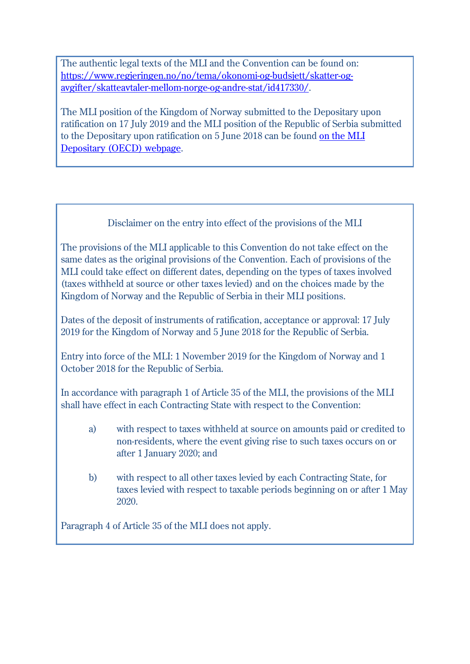The authentic legal texts of the MLI and the Convention can be found on: [https://www.regjeringen.no/no/tema/okonomi-og-budsjett/skatter-og](https://www.regjeringen.no/no/tema/okonomi-og-budsjett/skatter-og-avgifter/skatteavtaler-mellom-norge-og-andre-stat/id417330/)[avgifter/skatteavtaler-mellom-norge-og-andre-stat/id417330/.](https://www.regjeringen.no/no/tema/okonomi-og-budsjett/skatter-og-avgifter/skatteavtaler-mellom-norge-og-andre-stat/id417330/)

The MLI position of the Kingdom of Norway submitted to the Depositary upon ratification on 17 July 2019 and the MLI position of the Republic of Serbia submitted to the Depositary upon ratification on 5 June 2018 can be found [on the MLI](http://www.oecd.org/tax/treaties/beps-mli-signatories-and-parties.pdf)  [Depositary \(OECD\) webpage.](http://www.oecd.org/tax/treaties/beps-mli-signatories-and-parties.pdf)

Disclaimer on the entry into effect of the provisions of the MLI

The provisions of the MLI applicable to this Convention do not take effect on the same dates as the original provisions of the Convention. Each of provisions of the MLI could take effect on different dates, depending on the types of taxes involved (taxes withheld at source or other taxes levied) and on the choices made by the Kingdom of Norway and the Republic of Serbia in their MLI positions.

Dates of the deposit of instruments of ratification, acceptance or approval: 17 July 2019 for the Kingdom of Norway and 5 June 2018 for the Republic of Serbia.

Entry into force of the MLI: 1 November 2019 for the Kingdom of Norway and 1 October 2018 for the Republic of Serbia.

In accordance with paragraph 1 of Article 35 of the MLI, the provisions of the MLI shall have effect in each Contracting State with respect to the Convention:

- a) with respect to taxes withheld at source on amounts paid or credited to non-residents, where the event giving rise to such taxes occurs on or after 1 January 2020; and
- b) with respect to all other taxes levied by each Contracting State, for taxes levied with respect to taxable periods beginning on or after 1 May 2020.

Paragraph 4 of Article 35 of the MLI does not apply.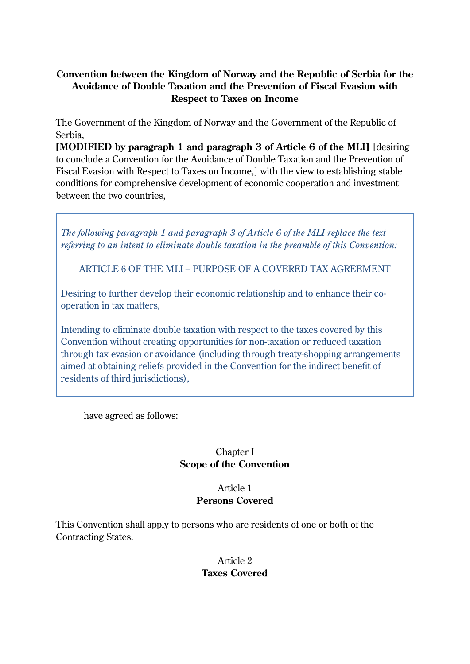## **Convention between the Kingdom of Norway and the Republic of Serbia for the Avoidance of Double Taxation and the Prevention of Fiscal Evasion with Respect to Taxes on Income**

The Government of the Kingdom of Norway and the Government of the Republic of Serbia,

**[MODIFIED by paragraph 1 and paragraph 3 of Article 6 of the MLI]** [desiring to conclude a Convention for the Avoidance of Double Taxation and the Prevention of Fiscal Evasion with Respect to Taxes on Income. With the view to establishing stable conditions for comprehensive development of economic cooperation and investment between the two countries,

*The following paragraph 1 and paragraph 3 of Article 6 of the MLI replace the text referring to an intent to eliminate double taxation in the preamble of this Convention:*

ARTICLE 6 OF THE MLI – PURPOSE OF A COVERED TAX AGREEMENT

Desiring to further develop their economic relationship and to enhance their cooperation in tax matters,

Intending to eliminate double taxation with respect to the taxes covered by this Convention without creating opportunities for non-taxation or reduced taxation through tax evasion or avoidance (including through treaty-shopping arrangements aimed at obtaining reliefs provided in the Convention for the indirect benefit of residents of third jurisdictions),

have agreed as follows:

#### Chapter I **Scope of the Convention**

## Article 1 **Persons Covered**

This Convention shall apply to persons who are residents of one or both of the Contracting States.

## Article 2 **Taxes Covered**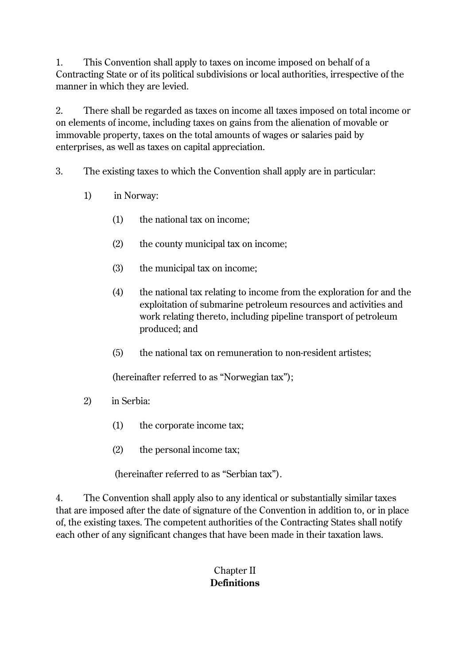1. This Convention shall apply to taxes on income imposed on behalf of a Contracting State or of its political subdivisions or local authorities, irrespective of the manner in which they are levied.

2. There shall be regarded as taxes on income all taxes imposed on total income or on elements of income, including taxes on gains from the alienation of movable or immovable property, taxes on the total amounts of wages or salaries paid by enterprises, as well as taxes on capital appreciation.

- 3. The existing taxes to which the Convention shall apply are in particular:
	- 1) in Norway:
		- (1) the national tax on income;
		- (2) the county municipal tax on income;
		- (3) the municipal tax on income;
		- (4) the national tax relating to income from the exploration for and the exploitation of submarine petroleum resources and activities and work relating thereto, including pipeline transport of petroleum produced; and
		- (5) the national tax on remuneration to non-resident artistes;

(hereinafter referred to as "Norwegian tax");

- 2) in Serbia:
	- (1) the corporate income tax;
	- (2) the personal income tax;

(hereinafter referred to as "Serbian tax").

4. The Convention shall apply also to any identical or substantially similar taxes that are imposed after the date of signature of the Convention in addition to, or in place of, the existing taxes. The competent authorities of the Contracting States shall notify each other of any significant changes that have been made in their taxation laws.

## Chapter II **Definitions**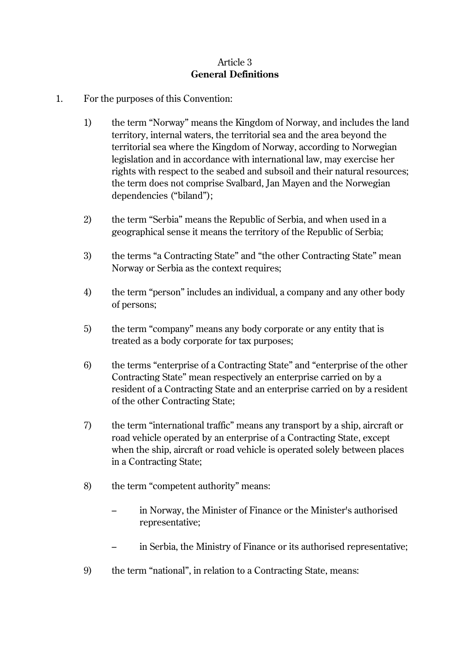#### Article 3 **General Definitions**

- 1. For the purposes of this Convention:
	- 1) the term "Norway" means the Kingdom of Norway, and includes the land territory, internal waters, the territorial sea and the area beyond the territorial sea where the Kingdom of Norway, according to Norwegian legislation and in accordance with international law, may exercise her rights with respect to the seabed and subsoil and their natural resources; the term does not comprise Svalbard, Jan Mayen and the Norwegian dependencies ("biland");
	- 2) the term "Serbia" means the Republic of Serbia, and when used in a geographical sense it means the territory of the Republic of Serbia;
	- 3) the terms "a Contracting State" and "the other Contracting State" mean Norway or Serbia as the context requires;
	- 4) the term "person" includes an individual, a company and any other body of persons;
	- 5) the term "company" means any body corporate or any entity that is treated as a body corporate for tax purposes;
	- 6) the terms "enterprise of a Contracting State" and "enterprise of the other Contracting State" mean respectively an enterprise carried on by a resident of a Contracting State and an enterprise carried on by a resident of the other Contracting State;
	- 7) the term "international traffic" means any transport by a ship, aircraft or road vehicle operated by an enterprise of a Contracting State, except when the ship, aircraft or road vehicle is operated solely between places in a Contracting State;
	- 8) the term "competent authority" means:
		- in Norway, the Minister of Finance or the Minister's authorised representative;
		- in Serbia, the Ministry of Finance or its authorised representative;
	- 9) the term "national", in relation to a Contracting State, means: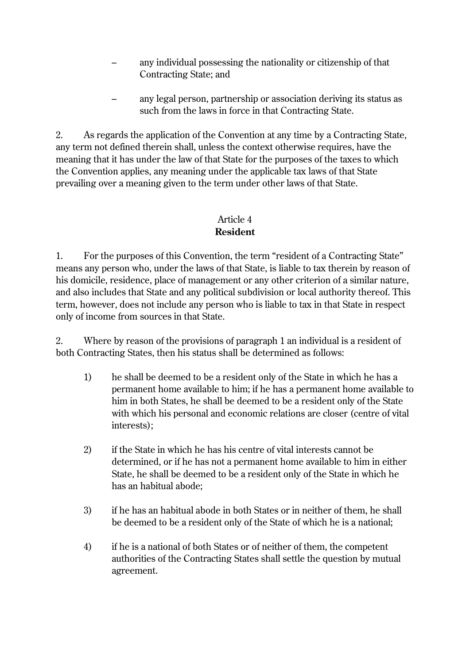- any individual possessing the nationality or citizenship of that Contracting State; and
- any legal person, partnership or association deriving its status as such from the laws in force in that Contracting State.

2. As regards the application of the Convention at any time by a Contracting State, any term not defined therein shall, unless the context otherwise requires, have the meaning that it has under the law of that State for the purposes of the taxes to which the Convention applies, any meaning under the applicable tax laws of that State prevailing over a meaning given to the term under other laws of that State.

#### Article 4 **Resident**

1. For the purposes of this Convention, the term "resident of a Contracting State" means any person who, under the laws of that State, is liable to tax therein by reason of his domicile, residence, place of management or any other criterion of a similar nature, and also includes that State and any political subdivision or local authority thereof. This term, however, does not include any person who is liable to tax in that State in respect only of income from sources in that State.

2. Where by reason of the provisions of paragraph 1 an individual is a resident of both Contracting States, then his status shall be determined as follows:

- 1) he shall be deemed to be a resident only of the State in which he has a permanent home available to him; if he has a permanent home available to him in both States, he shall be deemed to be a resident only of the State with which his personal and economic relations are closer (centre of vital interests);
- 2) if the State in which he has his centre of vital interests cannot be determined, or if he has not a permanent home available to him in either State, he shall be deemed to be a resident only of the State in which he has an habitual abode;
- 3) if he has an habitual abode in both States or in neither of them, he shall be deemed to be a resident only of the State of which he is a national;
- 4) if he is a national of both States or of neither of them, the competent authorities of the Contracting States shall settle the question by mutual agreement.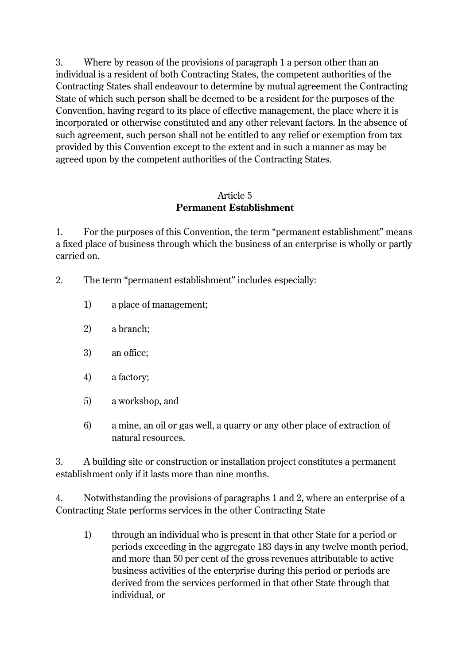3. Where by reason of the provisions of paragraph 1 a person other than an individual is a resident of both Contracting States, the competent authorities of the Contracting States shall endeavour to determine by mutual agreement the Contracting State of which such person shall be deemed to be a resident for the purposes of the Convention, having regard to its place of effective management, the place where it is incorporated or otherwise constituted and any other relevant factors. In the absence of such agreement, such person shall not be entitled to any relief or exemption from tax provided by this Convention except to the extent and in such a manner as may be agreed upon by the competent authorities of the Contracting States.

#### Article 5 **Permanent Establishment**

1. For the purposes of this Convention, the term "permanent establishment" means a fixed place of business through which the business of an enterprise is wholly or partly carried on.

- 2. The term "permanent establishment" includes especially:
	- 1) a place of management;
	- 2) a branch;
	- 3) an office;
	- 4) a factory;
	- 5) a workshop, and
	- 6) a mine, an oil or gas well, a quarry or any other place of extraction of natural resources.

3. A building site or construction or installation project constitutes a permanent establishment only if it lasts more than nine months.

4. Notwithstanding the provisions of paragraphs 1 and 2, where an enterprise of a Contracting State performs services in the other Contracting State

1) through an individual who is present in that other State for a period or periods exceeding in the aggregate 183 days in any twelve month period, and more than 50 per cent of the gross revenues attributable to active business activities of the enterprise during this period or periods are derived from the services performed in that other State through that individual, or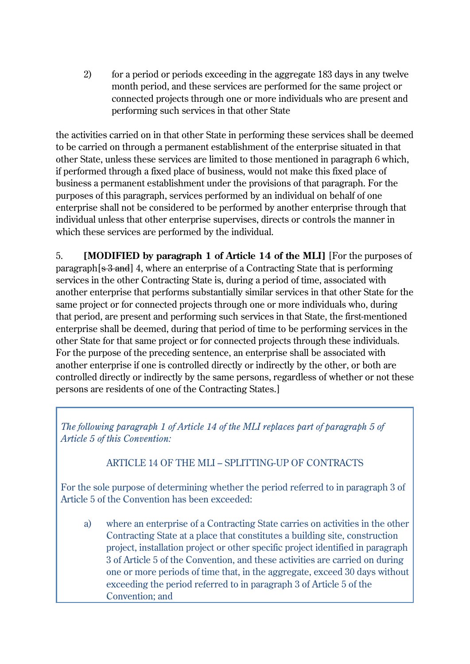2) for a period or periods exceeding in the aggregate 183 days in any twelve month period, and these services are performed for the same project or connected projects through one or more individuals who are present and performing such services in that other State

the activities carried on in that other State in performing these services shall be deemed to be carried on through a permanent establishment of the enterprise situated in that other State, unless these services are limited to those mentioned in paragraph 6 which, if performed through a fixed place of business, would not make this fixed place of business a permanent establishment under the provisions of that paragraph. For the purposes of this paragraph, services performed by an individual on behalf of one enterprise shall not be considered to be performed by another enterprise through that individual unless that other enterprise supervises, directs or controls the manner in which these services are performed by the individual.

5. **[MODIFIED by paragraph 1 of Article 14 of the MLI]** [For the purposes of paragraph[s 3 and] 4, where an enterprise of a Contracting State that is performing services in the other Contracting State is, during a period of time, associated with another enterprise that performs substantially similar services in that other State for the same project or for connected projects through one or more individuals who, during that period, are present and performing such services in that State, the first-mentioned enterprise shall be deemed, during that period of time to be performing services in the other State for that same project or for connected projects through these individuals. For the purpose of the preceding sentence, an enterprise shall be associated with another enterprise if one is controlled directly or indirectly by the other, or both are controlled directly or indirectly by the same persons, regardless of whether or not these persons are residents of one of the Contracting States.]

*The following paragraph 1 of Article 14 of the MLI replaces part of paragraph 5 of Article 5 of this Convention:*

# ARTICLE 14 OF THE MLI – SPLITTING-UP OF CONTRACTS

For the sole purpose of determining whether the period referred to in paragraph 3 of Article 5 of the Convention has been exceeded:

a) where an enterprise of a Contracting State carries on activities in the other Contracting State at a place that constitutes a building site, construction project, installation project or other specific project identified in paragraph 3 of Article 5 of the Convention, and these activities are carried on during one or more periods of time that, in the aggregate, exceed 30 days without exceeding the period referred to in paragraph 3 of Article 5 of the Convention; and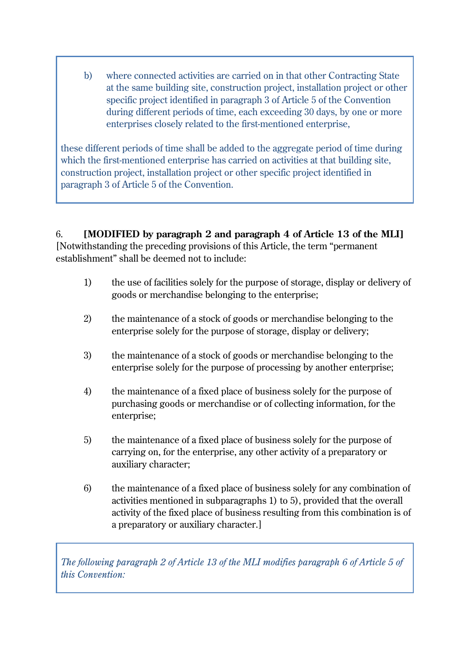b) where connected activities are carried on in that other Contracting State at the same building site, construction project, installation project or other specific project identified in paragraph 3 of Article 5 of the Convention during different periods of time, each exceeding 30 days, by one or more enterprises closely related to the first-mentioned enterprise,

these different periods of time shall be added to the aggregate period of time during which the first-mentioned enterprise has carried on activities at that building site, construction project, installation project or other specific project identified in paragraph 3 of Article 5 of the Convention.

6. **[MODIFIED by paragraph 2 and paragraph 4 of Article 13 of the MLI]**  [Notwithstanding the preceding provisions of this Article, the term "permanent establishment" shall be deemed not to include:

- 1) the use of facilities solely for the purpose of storage, display or delivery of goods or merchandise belonging to the enterprise;
- 2) the maintenance of a stock of goods or merchandise belonging to the enterprise solely for the purpose of storage, display or delivery;
- 3) the maintenance of a stock of goods or merchandise belonging to the enterprise solely for the purpose of processing by another enterprise;
- 4) the maintenance of a fixed place of business solely for the purpose of purchasing goods or merchandise or of collecting information, for the enterprise;
- 5) the maintenance of a fixed place of business solely for the purpose of carrying on, for the enterprise, any other activity of a preparatory or auxiliary character;
- 6) the maintenance of a fixed place of business solely for any combination of activities mentioned in subparagraphs 1) to 5), provided that the overall activity of the fixed place of business resulting from this combination is of a preparatory or auxiliary character.]

*The following paragraph 2 of Article 13 of the MLI modifies paragraph 6 of Article 5 of this Convention:*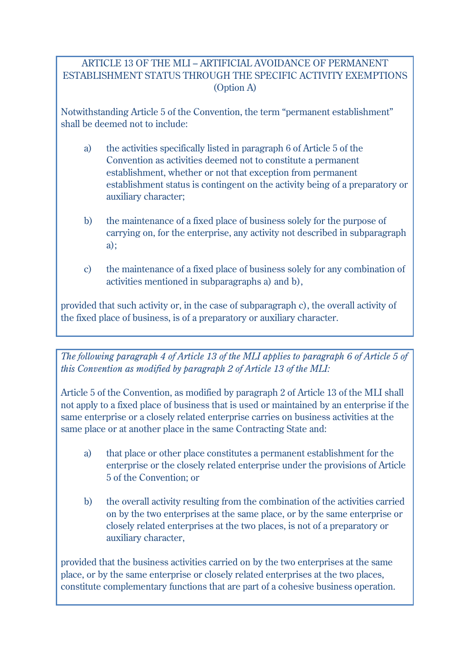#### ARTICLE 13 OF THE MLI – ARTIFICIAL AVOIDANCE OF PERMANENT ESTABLISHMENT STATUS THROUGH THE SPECIFIC ACTIVITY EXEMPTIONS (Option A)

Notwithstanding Article 5 of the Convention, the term "permanent establishment" shall be deemed not to include:

- a) the activities specifically listed in paragraph 6 of Article 5 of the Convention as activities deemed not to constitute a permanent establishment, whether or not that exception from permanent establishment status is contingent on the activity being of a preparatory or auxiliary character;
- b) the maintenance of a fixed place of business solely for the purpose of carrying on, for the enterprise, any activity not described in subparagraph a);
- c) the maintenance of a fixed place of business solely for any combination of activities mentioned in subparagraphs a) and b),

provided that such activity or, in the case of subparagraph c), the overall activity of the fixed place of business, is of a preparatory or auxiliary character.

*The following paragraph 4 of Article 13 of the MLI applies to paragraph 6 of Article 5 of this Convention as modified by paragraph 2 of Article 13 of the MLI:*

Article 5 of the Convention, as modified by paragraph 2 of Article 13 of the MLI shall not apply to a fixed place of business that is used or maintained by an enterprise if the same enterprise or a closely related enterprise carries on business activities at the same place or at another place in the same Contracting State and:

- a) that place or other place constitutes a permanent establishment for the enterprise or the closely related enterprise under the provisions of Article 5 of the Convention; or
- b) the overall activity resulting from the combination of the activities carried on by the two enterprises at the same place, or by the same enterprise or closely related enterprises at the two places, is not of a preparatory or auxiliary character,

provided that the business activities carried on by the two enterprises at the same place, or by the same enterprise or closely related enterprises at the two places, constitute complementary functions that are part of a cohesive business operation.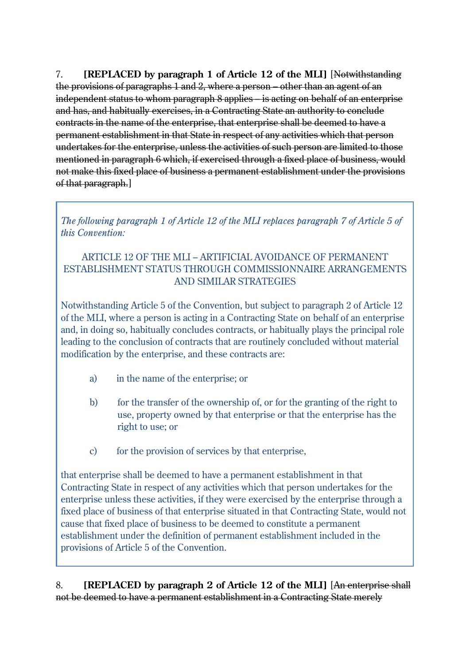7. **[REPLACED by paragraph 1 of Article 12 of the MLI]** [Notwithstanding the provisions of paragraphs 1 and 2, where a person – other than an agent of an independent status to whom paragraph 8 applies – is acting on behalf of an enterprise and has, and habitually exercises, in a Contracting State an authority to conclude contracts in the name of the enterprise, that enterprise shall be deemed to have a permanent establishment in that State in respect of any activities which that person undertakes for the enterprise, unless the activities of such person are limited to those mentioned in paragraph 6 which, if exercised through a fixed place of business, would not make this fixed place of business a permanent establishment under the provisions of that paragraph.]

*The following paragraph 1 of Article 12 of the MLI replaces paragraph 7 of Article 5 of this Convention:*

## ARTICLE 12 OF THE MLI – ARTIFICIAL AVOIDANCE OF PERMANENT ESTABLISHMENT STATUS THROUGH COMMISSIONNAIRE ARRANGEMENTS AND SIMILAR STRATEGIES

Notwithstanding Article 5 of the Convention, but subject to paragraph 2 of Article 12 of the MLI, where a person is acting in a Contracting State on behalf of an enterprise and, in doing so, habitually concludes contracts, or habitually plays the principal role leading to the conclusion of contracts that are routinely concluded without material modification by the enterprise, and these contracts are:

- a) in the name of the enterprise; or
- b) for the transfer of the ownership of, or for the granting of the right to use, property owned by that enterprise or that the enterprise has the right to use; or
- c) for the provision of services by that enterprise,

that enterprise shall be deemed to have a permanent establishment in that Contracting State in respect of any activities which that person undertakes for the enterprise unless these activities, if they were exercised by the enterprise through a fixed place of business of that enterprise situated in that Contracting State, would not cause that fixed place of business to be deemed to constitute a permanent establishment under the definition of permanent establishment included in the provisions of Article 5 of the Convention.

8. **[REPLACED by paragraph 2 of Article 12 of the MLI]** [An enterprise shall not be deemed to have a permanent establishment in a Contracting State merely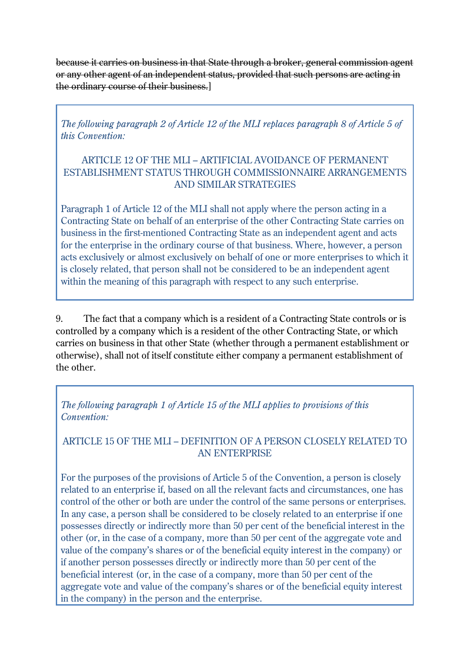because it carries on business in that State through a broker, general commission agent or any other agent of an independent status, provided that such persons are acting in the ordinary course of their business.]

*The following paragraph 2 of Article 12 of the MLI replaces paragraph 8 of Article 5 of this Convention:*

## ARTICLE 12 OF THE MLI – ARTIFICIAL AVOIDANCE OF PERMANENT ESTABLISHMENT STATUS THROUGH COMMISSIONNAIRE ARRANGEMENTS AND SIMILAR STRATEGIES

Paragraph 1 of Article 12 of the MLI shall not apply where the person acting in a Contracting State on behalf of an enterprise of the other Contracting State carries on business in the first-mentioned Contracting State as an independent agent and acts for the enterprise in the ordinary course of that business. Where, however, a person acts exclusively or almost exclusively on behalf of one or more enterprises to which it is closely related, that person shall not be considered to be an independent agent within the meaning of this paragraph with respect to any such enterprise.

9. The fact that a company which is a resident of a Contracting State controls or is controlled by a company which is a resident of the other Contracting State, or which carries on business in that other State (whether through a permanent establishment or otherwise), shall not of itself constitute either company a permanent establishment of the other.

*The following paragraph 1 of Article 15 of the MLI applies to provisions of this Convention:*

ARTICLE 15 OF THE MLI – DEFINITION OF A PERSON CLOSELY RELATED TO AN ENTERPRISE

For the purposes of the provisions of Article 5 of the Convention, a person is closely related to an enterprise if, based on all the relevant facts and circumstances, one has control of the other or both are under the control of the same persons or enterprises. In any case, a person shall be considered to be closely related to an enterprise if one possesses directly or indirectly more than 50 per cent of the beneficial interest in the other (or, in the case of a company, more than 50 per cent of the aggregate vote and value of the company's shares or of the beneficial equity interest in the company) or if another person possesses directly or indirectly more than 50 per cent of the beneficial interest (or, in the case of a company, more than 50 per cent of the aggregate vote and value of the company's shares or of the beneficial equity interest in the company) in the person and the enterprise.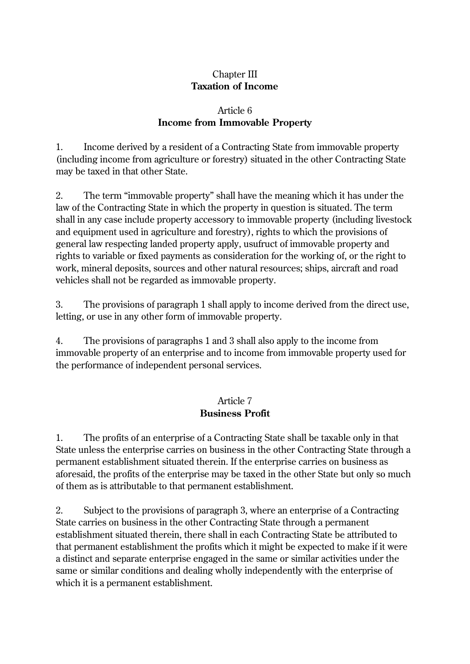# Chapter III **Taxation of Income**

## Article 6 **Income from Immovable Property**

1. Income derived by a resident of a Contracting State from immovable property (including income from agriculture or forestry) situated in the other Contracting State may be taxed in that other State.

2. The term "immovable property" shall have the meaning which it has under the law of the Contracting State in which the property in question is situated. The term shall in any case include property accessory to immovable property (including livestock and equipment used in agriculture and forestry), rights to which the provisions of general law respecting landed property apply, usufruct of immovable property and rights to variable or fixed payments as consideration for the working of, or the right to work, mineral deposits, sources and other natural resources; ships, aircraft and road vehicles shall not be regarded as immovable property.

3. The provisions of paragraph 1 shall apply to income derived from the direct use, letting, or use in any other form of immovable property.

4. The provisions of paragraphs 1 and 3 shall also apply to the income from immovable property of an enterprise and to income from immovable property used for the performance of independent personal services.

# Article 7 **Business Profit**

1. The profits of an enterprise of a Contracting State shall be taxable only in that State unless the enterprise carries on business in the other Contracting State through a permanent establishment situated therein. If the enterprise carries on business as aforesaid, the profits of the enterprise may be taxed in the other State but only so much of them as is attributable to that permanent establishment.

2. Subject to the provisions of paragraph 3, where an enterprise of a Contracting State carries on business in the other Contracting State through a permanent establishment situated therein, there shall in each Contracting State be attributed to that permanent establishment the profits which it might be expected to make if it were a distinct and separate enterprise engaged in the same or similar activities under the same or similar conditions and dealing wholly independently with the enterprise of which it is a permanent establishment.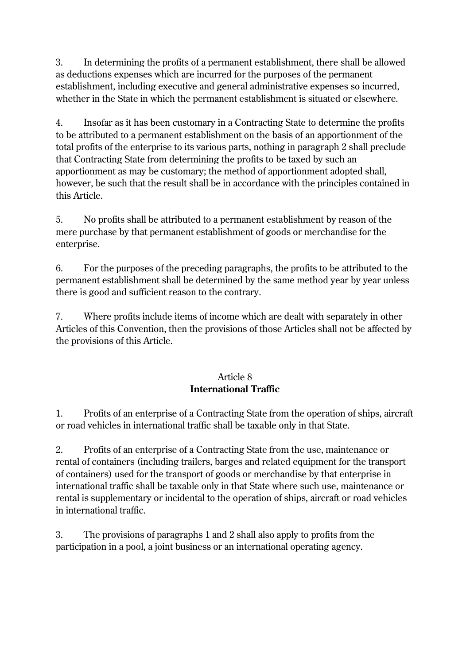3. In determining the profits of a permanent establishment, there shall be allowed as deductions expenses which are incurred for the purposes of the permanent establishment, including executive and general administrative expenses so incurred, whether in the State in which the permanent establishment is situated or elsewhere.

4. Insofar as it has been customary in a Contracting State to determine the profits to be attributed to a permanent establishment on the basis of an apportionment of the total profits of the enterprise to its various parts, nothing in paragraph 2 shall preclude that Contracting State from determining the profits to be taxed by such an apportionment as may be customary; the method of apportionment adopted shall, however, be such that the result shall be in accordance with the principles contained in this Article.

5. No profits shall be attributed to a permanent establishment by reason of the mere purchase by that permanent establishment of goods or merchandise for the enterprise.

6. For the purposes of the preceding paragraphs, the profits to be attributed to the permanent establishment shall be determined by the same method year by year unless there is good and sufficient reason to the contrary.

7. Where profits include items of income which are dealt with separately in other Articles of this Convention, then the provisions of those Articles shall not be affected by the provisions of this Article.

# Article 8 **International Traffic**

1. Profits of an enterprise of a Contracting State from the operation of ships, aircraft or road vehicles in international traffic shall be taxable only in that State.

2. Profits of an enterprise of a Contracting State from the use, maintenance or rental of containers (including trailers, barges and related equipment for the transport of containers) used for the transport of goods or merchandise by that enterprise in international traffic shall be taxable only in that State where such use, maintenance or rental is supplementary or incidental to the operation of ships, aircraft or road vehicles in international traffic.

3. The provisions of paragraphs 1 and 2 shall also apply to profits from the participation in a pool, a joint business or an international operating agency.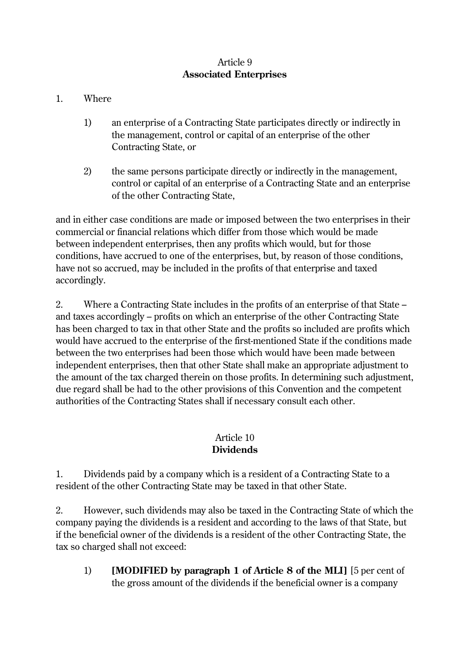#### Article 9 **Associated Enterprises**

## 1. Where

- 1) an enterprise of a Contracting State participates directly or indirectly in the management, control or capital of an enterprise of the other Contracting State, or
- 2) the same persons participate directly or indirectly in the management, control or capital of an enterprise of a Contracting State and an enterprise of the other Contracting State,

and in either case conditions are made or imposed between the two enterprises in their commercial or financial relations which differ from those which would be made between independent enterprises, then any profits which would, but for those conditions, have accrued to one of the enterprises, but, by reason of those conditions, have not so accrued, may be included in the profits of that enterprise and taxed accordingly.

2. Where a Contracting State includes in the profits of an enterprise of that State – and taxes accordingly – profits on which an enterprise of the other Contracting State has been charged to tax in that other State and the profits so included are profits which would have accrued to the enterprise of the first-mentioned State if the conditions made between the two enterprises had been those which would have been made between independent enterprises, then that other State shall make an appropriate adjustment to the amount of the tax charged therein on those profits. In determining such adjustment, due regard shall be had to the other provisions of this Convention and the competent authorities of the Contracting States shall if necessary consult each other.

#### Article 10 **Dividends**

1. Dividends paid by a company which is a resident of a Contracting State to a resident of the other Contracting State may be taxed in that other State.

2. However, such dividends may also be taxed in the Contracting State of which the company paying the dividends is a resident and according to the laws of that State, but if the beneficial owner of the dividends is a resident of the other Contracting State, the tax so charged shall not exceed:

1) **[MODIFIED by paragraph 1 of Article 8 of the MLI]** [5 per cent of the gross amount of the dividends if the beneficial owner is a company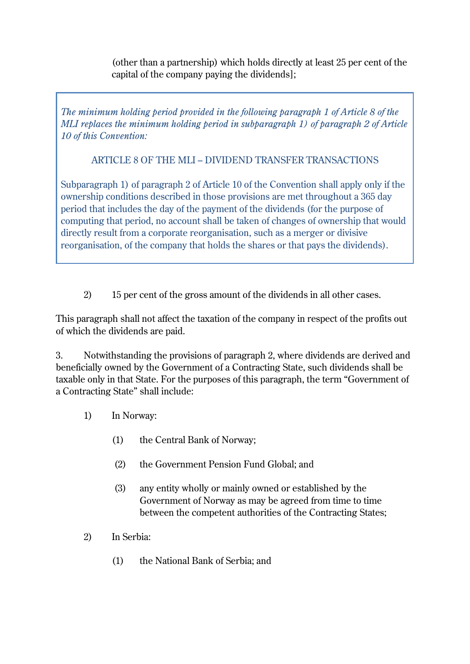(other than a partnership) which holds directly at least 25 per cent of the capital of the company paying the dividends];

*The minimum holding period provided in the following paragraph 1 of Article 8 of the MLI replaces the minimum holding period in subparagraph 1) of paragraph 2 of Article 10 of this Convention:*

ARTICLE 8 OF THE MLI – DIVIDEND TRANSFER TRANSACTIONS

Subparagraph 1) of paragraph 2 of Article 10 of the Convention shall apply only if the ownership conditions described in those provisions are met throughout a 365 day period that includes the day of the payment of the dividends (for the purpose of computing that period, no account shall be taken of changes of ownership that would directly result from a corporate reorganisation, such as a merger or divisive reorganisation, of the company that holds the shares or that pays the dividends).

2) 15 per cent of the gross amount of the dividends in all other cases.

This paragraph shall not affect the taxation of the company in respect of the profits out of which the dividends are paid.

3. Notwithstanding the provisions of paragraph 2, where dividends are derived and beneficially owned by the Government of a Contracting State, such dividends shall be taxable only in that State. For the purposes of this paragraph, the term "Government of a Contracting State" shall include:

- 1) In Norway:
	- (1) the Central Bank of Norway;
	- (2) the Government Pension Fund Global; and
	- (3) any entity wholly or mainly owned or established by the Government of Norway as may be agreed from time to time between the competent authorities of the Contracting States;
- 2) In Serbia:
	- (1) the National Bank of Serbia; and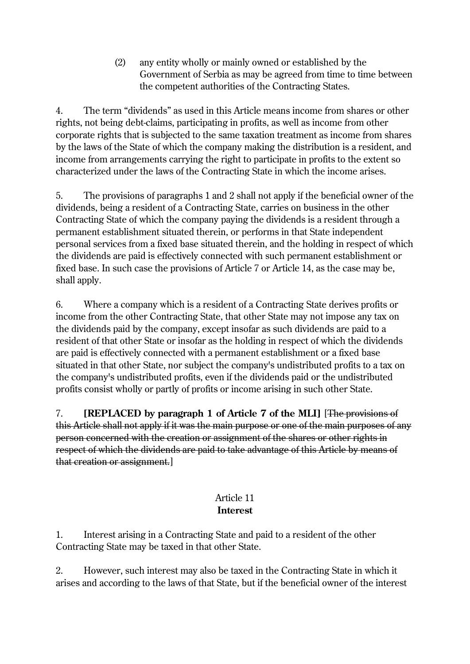(2) any entity wholly or mainly owned or established by the Government of Serbia as may be agreed from time to time between the competent authorities of the Contracting States.

4. The term "dividends" as used in this Article means income from shares or other rights, not being debt-claims, participating in profits, as well as income from other corporate rights that is subjected to the same taxation treatment as income from shares by the laws of the State of which the company making the distribution is a resident, and income from arrangements carrying the right to participate in profits to the extent so characterized under the laws of the Contracting State in which the income arises.

5. The provisions of paragraphs 1 and 2 shall not apply if the beneficial owner of the dividends, being a resident of a Contracting State, carries on business in the other Contracting State of which the company paying the dividends is a resident through a permanent establishment situated therein, or performs in that State independent personal services from a fixed base situated therein, and the holding in respect of which the dividends are paid is effectively connected with such permanent establishment or fixed base. In such case the provisions of Article 7 or Article 14, as the case may be, shall apply.

6. Where a company which is a resident of a Contracting State derives profits or income from the other Contracting State, that other State may not impose any tax on the dividends paid by the company, except insofar as such dividends are paid to a resident of that other State or insofar as the holding in respect of which the dividends are paid is effectively connected with a permanent establishment or a fixed base situated in that other State, nor subject the company's undistributed profits to a tax on the company's undistributed profits, even if the dividends paid or the undistributed profits consist wholly or partly of profits or income arising in such other State.

7. **[REPLACED by paragraph 1 of Article 7 of the MLI]** [The provisions of this Article shall not apply if it was the main purpose or one of the main purposes of any person concerned with the creation or assignment of the shares or other rights in respect of which the dividends are paid to take advantage of this Article by means of that creation or assignment.]

#### Article 11 **Interest**

1. Interest arising in a Contracting State and paid to a resident of the other Contracting State may be taxed in that other State.

2. However, such interest may also be taxed in the Contracting State in which it arises and according to the laws of that State, but if the beneficial owner of the interest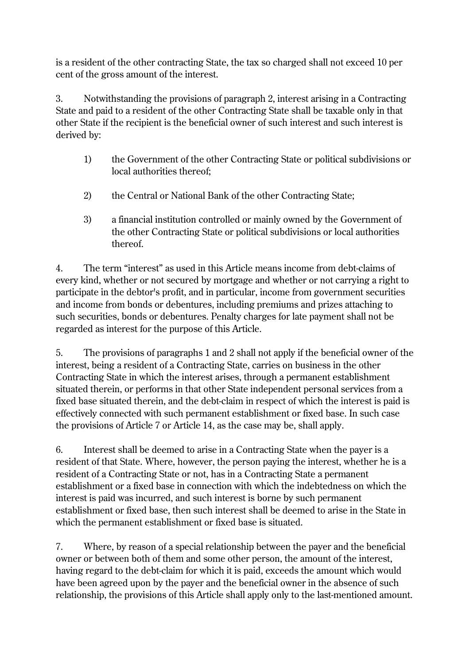is a resident of the other contracting State, the tax so charged shall not exceed 10 per cent of the gross amount of the interest.

3. Notwithstanding the provisions of paragraph 2, interest arising in a Contracting State and paid to a resident of the other Contracting State shall be taxable only in that other State if the recipient is the beneficial owner of such interest and such interest is derived by:

- 1) the Government of the other Contracting State or political subdivisions or local authorities thereof;
- 2) the Central or National Bank of the other Contracting State;
- 3) a financial institution controlled or mainly owned by the Government of the other Contracting State or political subdivisions or local authorities thereof.

4. The term "interest" as used in this Article means income from debt-claims of every kind, whether or not secured by mortgage and whether or not carrying a right to participate in the debtor's profit, and in particular, income from government securities and income from bonds or debentures, including premiums and prizes attaching to such securities, bonds or debentures. Penalty charges for late payment shall not be regarded as interest for the purpose of this Article.

5. The provisions of paragraphs 1 and 2 shall not apply if the beneficial owner of the interest, being a resident of a Contracting State, carries on business in the other Contracting State in which the interest arises, through a permanent establishment situated therein, or performs in that other State independent personal services from a fixed base situated therein, and the debt-claim in respect of which the interest is paid is effectively connected with such permanent establishment or fixed base. In such case the provisions of Article 7 or Article 14, as the case may be, shall apply.

6. Interest shall be deemed to arise in a Contracting State when the payer is a resident of that State. Where, however, the person paying the interest, whether he is a resident of a Contracting State or not, has in a Contracting State a permanent establishment or a fixed base in connection with which the indebtedness on which the interest is paid was incurred, and such interest is borne by such permanent establishment or fixed base, then such interest shall be deemed to arise in the State in which the permanent establishment or fixed base is situated.

7. Where, by reason of a special relationship between the payer and the beneficial owner or between both of them and some other person, the amount of the interest, having regard to the debt-claim for which it is paid, exceeds the amount which would have been agreed upon by the payer and the beneficial owner in the absence of such relationship, the provisions of this Article shall apply only to the last-mentioned amount.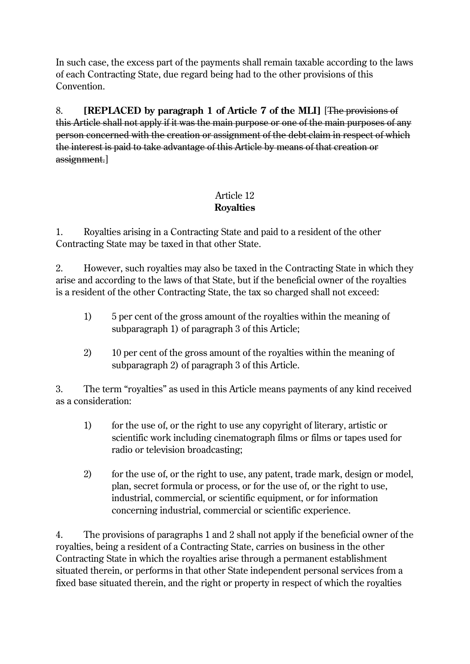In such case, the excess part of the payments shall remain taxable according to the laws of each Contracting State, due regard being had to the other provisions of this Convention.

8. **[REPLACED by paragraph 1 of Article 7 of the MLI]** [The provisions of this Article shall not apply if it was the main purpose or one of the main purposes of any person concerned with the creation or assignment of the debt-claim in respect of which the interest is paid to take advantage of this Article by means of that creation or assignment.]

# Article 12 **Royalties**

1. Royalties arising in a Contracting State and paid to a resident of the other Contracting State may be taxed in that other State.

2. However, such royalties may also be taxed in the Contracting State in which they arise and according to the laws of that State, but if the beneficial owner of the royalties is a resident of the other Contracting State, the tax so charged shall not exceed:

- 1) 5 per cent of the gross amount of the royalties within the meaning of subparagraph 1) of paragraph 3 of this Article;
- 2) 10 per cent of the gross amount of the royalties within the meaning of subparagraph 2) of paragraph 3 of this Article.

3. The term "royalties" as used in this Article means payments of any kind received as a consideration:

- 1) for the use of, or the right to use any copyright of literary, artistic or scientific work including cinematograph films or films or tapes used for radio or television broadcasting;
- 2) for the use of, or the right to use, any patent, trade mark, design or model, plan, secret formula or process, or for the use of, or the right to use, industrial, commercial, or scientific equipment, or for information concerning industrial, commercial or scientific experience.

4. The provisions of paragraphs 1 and 2 shall not apply if the beneficial owner of the royalties, being a resident of a Contracting State, carries on business in the other Contracting State in which the royalties arise through a permanent establishment situated therein, or performs in that other State independent personal services from a fixed base situated therein, and the right or property in respect of which the royalties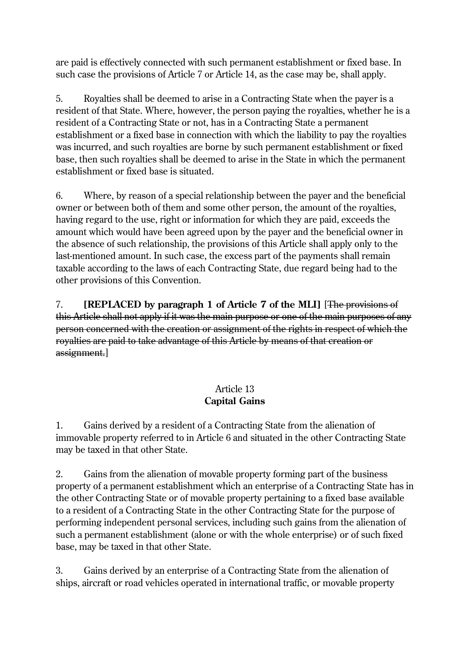are paid is effectively connected with such permanent establishment or fixed base. In such case the provisions of Article 7 or Article 14, as the case may be, shall apply.

5. Royalties shall be deemed to arise in a Contracting State when the payer is a resident of that State. Where, however, the person paying the royalties, whether he is a resident of a Contracting State or not, has in a Contracting State a permanent establishment or a fixed base in connection with which the liability to pay the royalties was incurred, and such royalties are borne by such permanent establishment or fixed base, then such royalties shall be deemed to arise in the State in which the permanent establishment or fixed base is situated.

6. Where, by reason of a special relationship between the payer and the beneficial owner or between both of them and some other person, the amount of the royalties, having regard to the use, right or information for which they are paid, exceeds the amount which would have been agreed upon by the payer and the beneficial owner in the absence of such relationship, the provisions of this Article shall apply only to the last-mentioned amount. In such case, the excess part of the payments shall remain taxable according to the laws of each Contracting State, due regard being had to the other provisions of this Convention.

7. **[REPLACED by paragraph 1 of Article 7 of the MLI]** [The provisions of this Article shall not apply if it was the main purpose or one of the main purposes of any person concerned with the creation or assignment of the rights in respect of which the royalties are paid to take advantage of this Article by means of that creation or assignment.]

# Article 13 **Capital Gains**

1. Gains derived by a resident of a Contracting State from the alienation of immovable property referred to in Article 6 and situated in the other Contracting State may be taxed in that other State.

2. Gains from the alienation of movable property forming part of the business property of a permanent establishment which an enterprise of a Contracting State has in the other Contracting State or of movable property pertaining to a fixed base available to a resident of a Contracting State in the other Contracting State for the purpose of performing independent personal services, including such gains from the alienation of such a permanent establishment (alone or with the whole enterprise) or of such fixed base, may be taxed in that other State.

3. Gains derived by an enterprise of a Contracting State from the alienation of ships, aircraft or road vehicles operated in international traffic, or movable property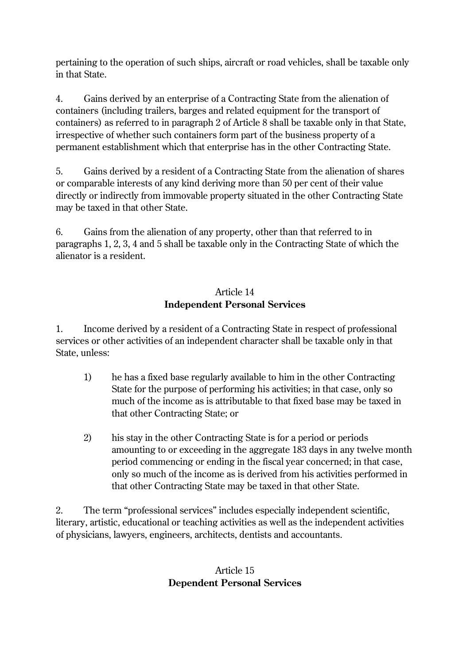pertaining to the operation of such ships, aircraft or road vehicles, shall be taxable only in that State.

4. Gains derived by an enterprise of a Contracting State from the alienation of containers (including trailers, barges and related equipment for the transport of containers) as referred to in paragraph 2 of Article 8 shall be taxable only in that State, irrespective of whether such containers form part of the business property of a permanent establishment which that enterprise has in the other Contracting State.

5. Gains derived by a resident of a Contracting State from the alienation of shares or comparable interests of any kind deriving more than 50 per cent of their value directly or indirectly from immovable property situated in the other Contracting State may be taxed in that other State.

6. Gains from the alienation of any property, other than that referred to in paragraphs 1, 2, 3, 4 and 5 shall be taxable only in the Contracting State of which the alienator is a resident.

# Article 14 **Independent Personal Services**

1. Income derived by a resident of a Contracting State in respect of professional services or other activities of an independent character shall be taxable only in that State, unless:

- 1) he has a fixed base regularly available to him in the other Contracting State for the purpose of performing his activities; in that case, only so much of the income as is attributable to that fixed base may be taxed in that other Contracting State; or
- 2) his stay in the other Contracting State is for a period or periods amounting to or exceeding in the aggregate 183 days in any twelve month period commencing or ending in the fiscal year concerned; in that case, only so much of the income as is derived from his activities performed in that other Contracting State may be taxed in that other State.

2. The term "professional services" includes especially independent scientific, literary, artistic, educational or teaching activities as well as the independent activities of physicians, lawyers, engineers, architects, dentists and accountants.

## Article 15 **Dependent Personal Services**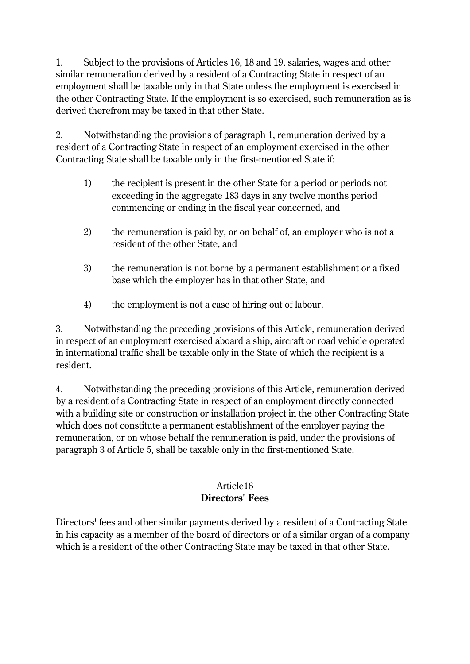1. Subject to the provisions of Articles 16, 18 and 19, salaries, wages and other similar remuneration derived by a resident of a Contracting State in respect of an employment shall be taxable only in that State unless the employment is exercised in the other Contracting State. If the employment is so exercised, such remuneration as is derived therefrom may be taxed in that other State.

2. Notwithstanding the provisions of paragraph 1, remuneration derived by a resident of a Contracting State in respect of an employment exercised in the other Contracting State shall be taxable only in the first-mentioned State if:

- 1) the recipient is present in the other State for a period or periods not exceeding in the aggregate 183 days in any twelve months period commencing or ending in the fiscal year concerned, and
- 2) the remuneration is paid by, or on behalf of, an employer who is not a resident of the other State, and
- 3) the remuneration is not borne by a permanent establishment or a fixed base which the employer has in that other State, and
- 4) the employment is not a case of hiring out of labour.

3. Notwithstanding the preceding provisions of this Article, remuneration derived in respect of an employment exercised aboard a ship, aircraft or road vehicle operated in international traffic shall be taxable only in the State of which the recipient is a resident.

4. Notwithstanding the preceding provisions of this Article, remuneration derived by a resident of a Contracting State in respect of an employment directly connected with a building site or construction or installation project in the other Contracting State which does not constitute a permanent establishment of the employer paying the remuneration, or on whose behalf the remuneration is paid, under the provisions of paragraph 3 of Article 5, shall be taxable only in the first-mentioned State.

# Article16 **Directors' Fees**

Directors' fees and other similar payments derived by a resident of a Contracting State in his capacity as a member of the board of directors or of a similar organ of a company which is a resident of the other Contracting State may be taxed in that other State.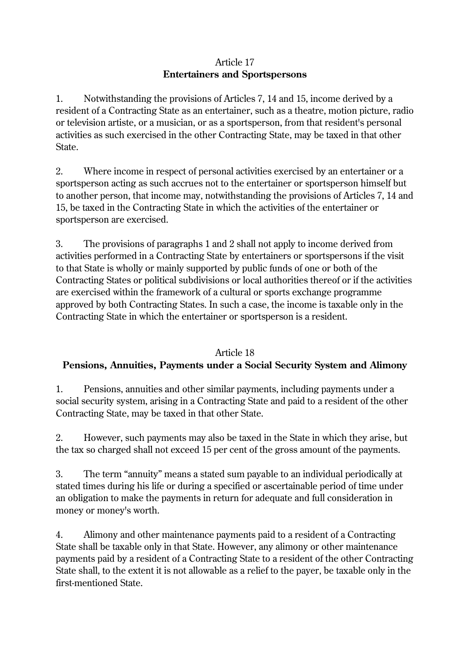#### Article 17 **Entertainers and Sportspersons**

1. Notwithstanding the provisions of Articles 7, 14 and 15, income derived by a resident of a Contracting State as an entertainer, such as a theatre, motion picture, radio or television artiste, or a musician, or as a sportsperson, from that resident's personal activities as such exercised in the other Contracting State, may be taxed in that other State.

2. Where income in respect of personal activities exercised by an entertainer or a sportsperson acting as such accrues not to the entertainer or sportsperson himself but to another person, that income may, notwithstanding the provisions of Articles 7, 14 and 15, be taxed in the Contracting State in which the activities of the entertainer or sportsperson are exercised.

3. The provisions of paragraphs 1 and 2 shall not apply to income derived from activities performed in a Contracting State by entertainers or sportspersons if the visit to that State is wholly or mainly supported by public funds of one or both of the Contracting States or political subdivisions or local authorities thereof or if the activities are exercised within the framework of a cultural or sports exchange programme approved by both Contracting States. In such a case, the income is taxable only in the Contracting State in which the entertainer or sportsperson is a resident.

## Article 18

## **Pensions, Annuities, Payments under a Social Security System and Alimony**

1. Pensions, annuities and other similar payments, including payments under a social security system, arising in a Contracting State and paid to a resident of the other Contracting State, may be taxed in that other State.

2. However, such payments may also be taxed in the State in which they arise, but the tax so charged shall not exceed 15 per cent of the gross amount of the payments.

3. The term "annuity" means a stated sum payable to an individual periodically at stated times during his life or during a specified or ascertainable period of time under an obligation to make the payments in return for adequate and full consideration in money or money's worth.

4. Alimony and other maintenance payments paid to a resident of a Contracting State shall be taxable only in that State. However, any alimony or other maintenance payments paid by a resident of a Contracting State to a resident of the other Contracting State shall, to the extent it is not allowable as a relief to the payer, be taxable only in the first-mentioned State.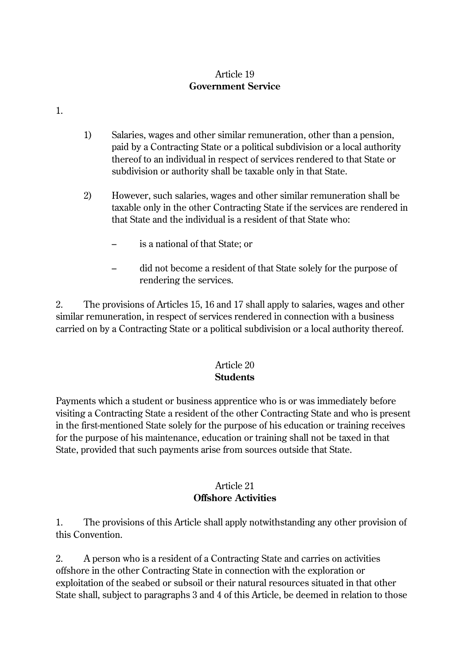## Article 19 **Government Service**

1.

- 1) Salaries, wages and other similar remuneration, other than a pension, paid by a Contracting State or a political subdivision or a local authority thereof to an individual in respect of services rendered to that State or subdivision or authority shall be taxable only in that State.
- 2) However, such salaries, wages and other similar remuneration shall be taxable only in the other Contracting State if the services are rendered in that State and the individual is a resident of that State who:
	- is a national of that State; or
	- did not become a resident of that State solely for the purpose of rendering the services.

2. The provisions of Articles 15, 16 and 17 shall apply to salaries, wages and other similar remuneration, in respect of services rendered in connection with a business carried on by a Contracting State or a political subdivision or a local authority thereof.

#### Article 20 **Students**

Payments which a student or business apprentice who is or was immediately before visiting a Contracting State a resident of the other Contracting State and who is present in the first-mentioned State solely for the purpose of his education or training receives for the purpose of his maintenance, education or training shall not be taxed in that State, provided that such payments arise from sources outside that State.

#### Article 21 **Offshore Activities**

1. The provisions of this Article shall apply notwithstanding any other provision of this Convention.

2. A person who is a resident of a Contracting State and carries on activities offshore in the other Contracting State in connection with the exploration or exploitation of the seabed or subsoil or their natural resources situated in that other State shall, subject to paragraphs 3 and 4 of this Article, be deemed in relation to those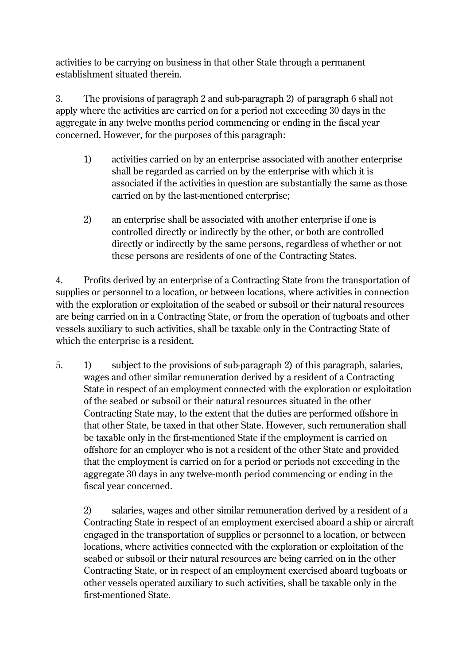activities to be carrying on business in that other State through a permanent establishment situated therein.

3. The provisions of paragraph 2 and sub-paragraph 2) of paragraph 6 shall not apply where the activities are carried on for a period not exceeding 30 days in the aggregate in any twelve months period commencing or ending in the fiscal year concerned. However, for the purposes of this paragraph:

- 1) activities carried on by an enterprise associated with another enterprise shall be regarded as carried on by the enterprise with which it is associated if the activities in question are substantially the same as those carried on by the last-mentioned enterprise;
- 2) an enterprise shall be associated with another enterprise if one is controlled directly or indirectly by the other, or both are controlled directly or indirectly by the same persons, regardless of whether or not these persons are residents of one of the Contracting States.

4. Profits derived by an enterprise of a Contracting State from the transportation of supplies or personnel to a location, or between locations, where activities in connection with the exploration or exploitation of the seabed or subsoil or their natural resources are being carried on in a Contracting State, or from the operation of tugboats and other vessels auxiliary to such activities, shall be taxable only in the Contracting State of which the enterprise is a resident.

5. 1) subject to the provisions of sub-paragraph 2) of this paragraph, salaries, wages and other similar remuneration derived by a resident of a Contracting State in respect of an employment connected with the exploration or exploitation of the seabed or subsoil or their natural resources situated in the other Contracting State may, to the extent that the duties are performed offshore in that other State, be taxed in that other State. However, such remuneration shall be taxable only in the first-mentioned State if the employment is carried on offshore for an employer who is not a resident of the other State and provided that the employment is carried on for a period or periods not exceeding in the aggregate 30 days in any twelve-month period commencing or ending in the fiscal year concerned.

2) salaries, wages and other similar remuneration derived by a resident of a Contracting State in respect of an employment exercised aboard a ship or aircraft engaged in the transportation of supplies or personnel to a location, or between locations, where activities connected with the exploration or exploitation of the seabed or subsoil or their natural resources are being carried on in the other Contracting State, or in respect of an employment exercised aboard tugboats or other vessels operated auxiliary to such activities, shall be taxable only in the first-mentioned State.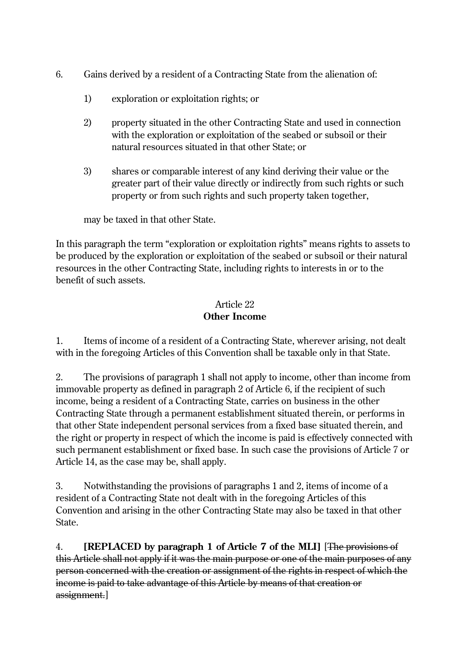- 6. Gains derived by a resident of a Contracting State from the alienation of:
	- 1) exploration or exploitation rights; or
	- 2) property situated in the other Contracting State and used in connection with the exploration or exploitation of the seabed or subsoil or their natural resources situated in that other State; or
	- 3) shares or comparable interest of any kind deriving their value or the greater part of their value directly or indirectly from such rights or such property or from such rights and such property taken together,

may be taxed in that other State.

In this paragraph the term "exploration or exploitation rights" means rights to assets to be produced by the exploration or exploitation of the seabed or subsoil or their natural resources in the other Contracting State, including rights to interests in or to the benefit of such assets.

#### Article 22 **Other Income**

1. Items of income of a resident of a Contracting State, wherever arising, not dealt with in the foregoing Articles of this Convention shall be taxable only in that State.

2. The provisions of paragraph 1 shall not apply to income, other than income from immovable property as defined in paragraph 2 of Article 6, if the recipient of such income, being a resident of a Contracting State, carries on business in the other Contracting State through a permanent establishment situated therein, or performs in that other State independent personal services from a fixed base situated therein, and the right or property in respect of which the income is paid is effectively connected with such permanent establishment or fixed base. In such case the provisions of Article 7 or Article 14, as the case may be, shall apply.

3. Notwithstanding the provisions of paragraphs 1 and 2, items of income of a resident of a Contracting State not dealt with in the foregoing Articles of this Convention and arising in the other Contracting State may also be taxed in that other State.

4. **[REPLACED by paragraph 1 of Article 7 of the MLI]** [The provisions of this Article shall not apply if it was the main purpose or one of the main purposes of any person concerned with the creation or assignment of the rights in respect of which the income is paid to take advantage of this Article by means of that creation or assignment.]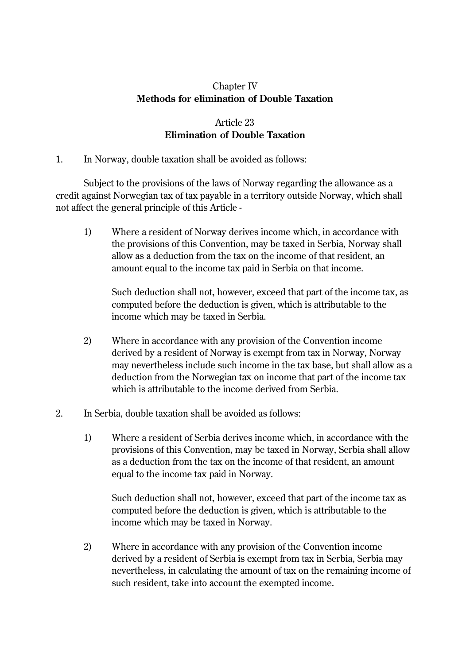#### Chapter IV **Methods for elimination of Double Taxation**

## Article 23 **Elimination of Double Taxation**

1. In Norway, double taxation shall be avoided as follows:

Subject to the provisions of the laws of Norway regarding the allowance as a credit against Norwegian tax of tax payable in a territory outside Norway, which shall not affect the general principle of this Article -

1) Where a resident of Norway derives income which, in accordance with the provisions of this Convention, may be taxed in Serbia, Norway shall allow as a deduction from the tax on the income of that resident, an amount equal to the income tax paid in Serbia on that income.

Such deduction shall not, however, exceed that part of the income tax, as computed before the deduction is given, which is attributable to the income which may be taxed in Serbia.

- 2) Where in accordance with any provision of the Convention income derived by a resident of Norway is exempt from tax in Norway, Norway may nevertheless include such income in the tax base, but shall allow as a deduction from the Norwegian tax on income that part of the income tax which is attributable to the income derived from Serbia.
- 2. In Serbia, double taxation shall be avoided as follows:
	- 1) Where a resident of Serbia derives income which, in accordance with the provisions of this Convention, may be taxed in Norway, Serbia shall allow as a deduction from the tax on the income of that resident, an amount equal to the income tax paid in Norway.

Such deduction shall not, however, exceed that part of the income tax as computed before the deduction is given, which is attributable to the income which may be taxed in Norway.

2) Where in accordance with any provision of the Convention income derived by a resident of Serbia is exempt from tax in Serbia, Serbia may nevertheless, in calculating the amount of tax on the remaining income of such resident, take into account the exempted income.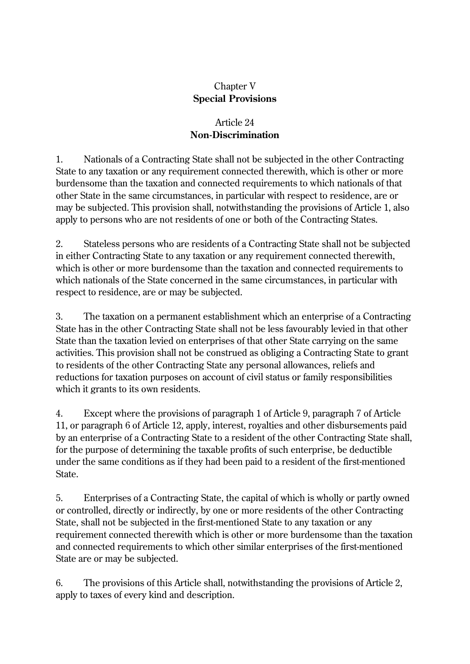# Chapter V **Special Provisions**

## Article 24 **Non-Discrimination**

1. Nationals of a Contracting State shall not be subjected in the other Contracting State to any taxation or any requirement connected therewith, which is other or more burdensome than the taxation and connected requirements to which nationals of that other State in the same circumstances, in particular with respect to residence, are or may be subjected. This provision shall, notwithstanding the provisions of Article 1, also apply to persons who are not residents of one or both of the Contracting States.

2. Stateless persons who are residents of a Contracting State shall not be subjected in either Contracting State to any taxation or any requirement connected therewith, which is other or more burdensome than the taxation and connected requirements to which nationals of the State concerned in the same circumstances, in particular with respect to residence, are or may be subjected.

3. The taxation on a permanent establishment which an enterprise of a Contracting State has in the other Contracting State shall not be less favourably levied in that other State than the taxation levied on enterprises of that other State carrying on the same activities. This provision shall not be construed as obliging a Contracting State to grant to residents of the other Contracting State any personal allowances, reliefs and reductions for taxation purposes on account of civil status or family responsibilities which it grants to its own residents.

4. Except where the provisions of paragraph 1 of Article 9, paragraph 7 of Article 11, or paragraph 6 of Article 12, apply, interest, royalties and other disbursements paid by an enterprise of a Contracting State to a resident of the other Contracting State shall, for the purpose of determining the taxable profits of such enterprise, be deductible under the same conditions as if they had been paid to a resident of the first-mentioned State.

5. Enterprises of a Contracting State, the capital of which is wholly or partly owned or controlled, directly or indirectly, by one or more residents of the other Contracting State, shall not be subjected in the first-mentioned State to any taxation or any requirement connected therewith which is other or more burdensome than the taxation and connected requirements to which other similar enterprises of the first-mentioned State are or may be subjected.

6. The provisions of this Article shall, notwithstanding the provisions of Article 2, apply to taxes of every kind and description.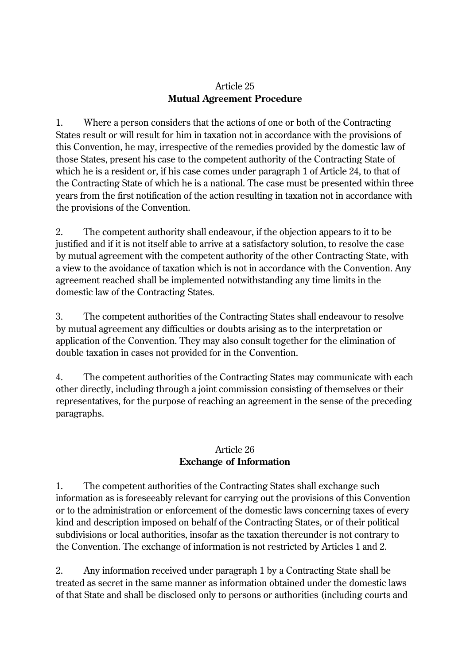#### Article 25 **Mutual Agreement Procedure**

1. Where a person considers that the actions of one or both of the Contracting States result or will result for him in taxation not in accordance with the provisions of this Convention, he may, irrespective of the remedies provided by the domestic law of those States, present his case to the competent authority of the Contracting State of which he is a resident or, if his case comes under paragraph 1 of Article 24, to that of the Contracting State of which he is a national. The case must be presented within three years from the first notification of the action resulting in taxation not in accordance with the provisions of the Convention.

2. The competent authority shall endeavour, if the objection appears to it to be justified and if it is not itself able to arrive at a satisfactory solution, to resolve the case by mutual agreement with the competent authority of the other Contracting State, with a view to the avoidance of taxation which is not in accordance with the Convention. Any agreement reached shall be implemented notwithstanding any time limits in the domestic law of the Contracting States.

3. The competent authorities of the Contracting States shall endeavour to resolve by mutual agreement any difficulties or doubts arising as to the interpretation or application of the Convention. They may also consult together for the elimination of double taxation in cases not provided for in the Convention.

4. The competent authorities of the Contracting States may communicate with each other directly, including through a joint commission consisting of themselves or their representatives, for the purpose of reaching an agreement in the sense of the preceding paragraphs.

## Article 26 **Exchange of Information**

1. The competent authorities of the Contracting States shall exchange such information as is foreseeably relevant for carrying out the provisions of this Convention or to the administration or enforcement of the domestic laws concerning taxes of every kind and description imposed on behalf of the Contracting States, or of their political subdivisions or local authorities, insofar as the taxation thereunder is not contrary to the Convention. The exchange of information is not restricted by Articles 1 and 2.

2. Any information received under paragraph 1 by a Contracting State shall be treated as secret in the same manner as information obtained under the domestic laws of that State and shall be disclosed only to persons or authorities (including courts and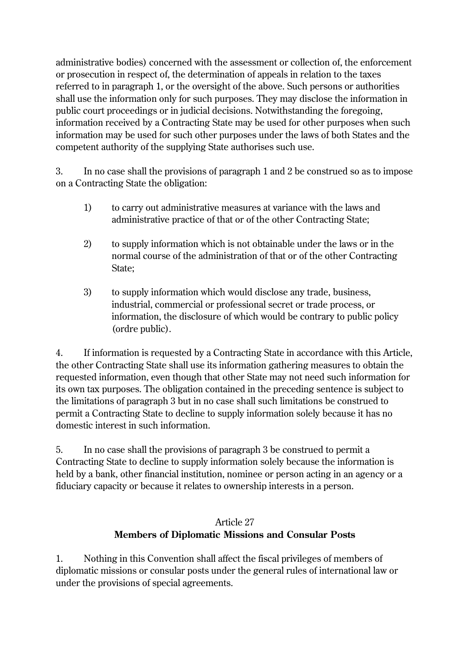administrative bodies) concerned with the assessment or collection of, the enforcement or prosecution in respect of, the determination of appeals in relation to the taxes referred to in paragraph 1, or the oversight of the above. Such persons or authorities shall use the information only for such purposes. They may disclose the information in public court proceedings or in judicial decisions. Notwithstanding the foregoing, information received by a Contracting State may be used for other purposes when such information may be used for such other purposes under the laws of both States and the competent authority of the supplying State authorises such use.

3. In no case shall the provisions of paragraph 1 and 2 be construed so as to impose on a Contracting State the obligation:

- 1) to carry out administrative measures at variance with the laws and administrative practice of that or of the other Contracting State;
- 2) to supply information which is not obtainable under the laws or in the normal course of the administration of that or of the other Contracting State;
- 3) to supply information which would disclose any trade, business, industrial, commercial or professional secret or trade process, or information, the disclosure of which would be contrary to public policy (ordre public).

4. If information is requested by a Contracting State in accordance with this Article, the other Contracting State shall use its information gathering measures to obtain the requested information, even though that other State may not need such information for its own tax purposes. The obligation contained in the preceding sentence is subject to the limitations of paragraph 3 but in no case shall such limitations be construed to permit a Contracting State to decline to supply information solely because it has no domestic interest in such information.

5. In no case shall the provisions of paragraph 3 be construed to permit a Contracting State to decline to supply information solely because the information is held by a bank, other financial institution, nominee or person acting in an agency or a fiduciary capacity or because it relates to ownership interests in a person.

## Article 27 **Members of Diplomatic Missions and Consular Posts**

1. Nothing in this Convention shall affect the fiscal privileges of members of diplomatic missions or consular posts under the general rules of international law or under the provisions of special agreements.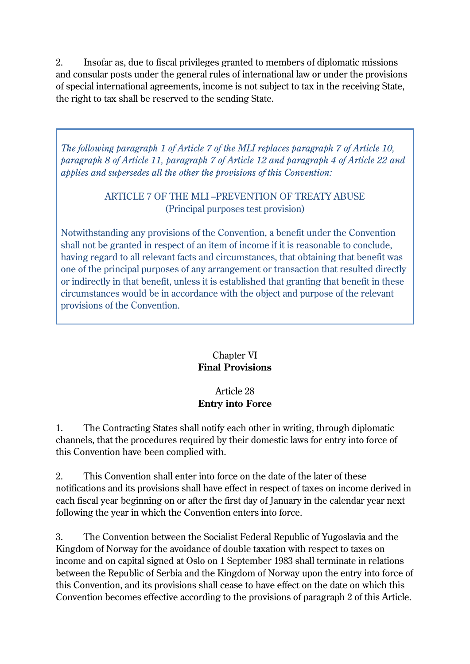2. Insofar as, due to fiscal privileges granted to members of diplomatic missions and consular posts under the general rules of international law or under the provisions of special international agreements, income is not subject to tax in the receiving State, the right to tax shall be reserved to the sending State.

*The following paragraph 1 of Article 7 of the MLI replaces paragraph 7 of Article 10, paragraph 8 of Article 11, paragraph 7 of Article 12 and paragraph 4 of Article 22 and applies and supersedes all the other the provisions of this Convention:*

## ARTICLE 7 OF THE MLI –PREVENTION OF TREATY ABUSE (Principal purposes test provision)

Notwithstanding any provisions of the Convention, a benefit under the Convention shall not be granted in respect of an item of income if it is reasonable to conclude, having regard to all relevant facts and circumstances, that obtaining that benefit was one of the principal purposes of any arrangement or transaction that resulted directly or indirectly in that benefit, unless it is established that granting that benefit in these circumstances would be in accordance with the object and purpose of the relevant provisions of the Convention.

## Chapter VI **Final Provisions**

#### Article 28 **Entry into Force**

1. The Contracting States shall notify each other in writing, through diplomatic channels, that the procedures required by their domestic laws for entry into force of this Convention have been complied with.

2. This Convention shall enter into force on the date of the later of these notifications and its provisions shall have effect in respect of taxes on income derived in each fiscal year beginning on or after the first day of January in the calendar year next following the year in which the Convention enters into force.

3. The Convention between the Socialist Federal Republic of Yugoslavia and the Kingdom of Norway for the avoidance of double taxation with respect to taxes on income and on capital signed at Oslo on 1 September 1983 shall terminate in relations between the Republic of Serbia and the Kingdom of Norway upon the entry into force of this Convention, and its provisions shall cease to have effect on the date on which this Convention becomes effective according to the provisions of paragraph 2 of this Article.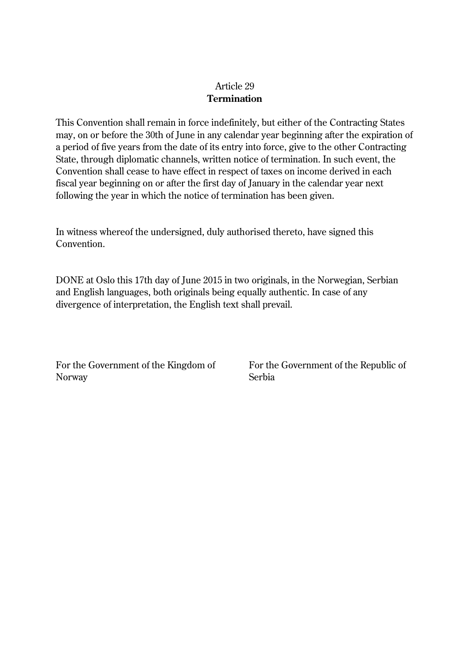## Article 29 **Termination**

This Convention shall remain in force indefinitely, but either of the Contracting States may, on or before the 30th of June in any calendar year beginning after the expiration of a period of five years from the date of its entry into force, give to the other Contracting State, through diplomatic channels, written notice of termination. In such event, the Convention shall cease to have effect in respect of taxes on income derived in each fiscal year beginning on or after the first day of January in the calendar year next following the year in which the notice of termination has been given.

In witness whereof the undersigned, duly authorised thereto, have signed this Convention.

DONE at Oslo this 17th day of June 2015 in two originals, in the Norwegian, Serbian and English languages, both originals being equally authentic. In case of any divergence of interpretation, the English text shall prevail.

For the Government of the Kingdom of Norway

For the Government of the Republic of Serbia